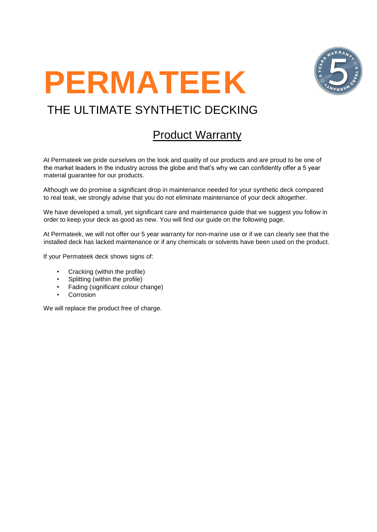



# THE ULTIMATE SYNTHETIC DECKING

## Product Warranty

At Permateek we pride ourselves on the look and quality of our products and are proud to be one of the market leaders in the industry across the globe and that's why we can confidently offer a 5 year material guarantee for our products.

Although we do promise a significant drop in maintenance needed for your synthetic deck compared to real teak, we strongly advise that you do not eliminate maintenance of your deck altogether.

We have developed a small, yet significant care and maintenance guide that we suggest you follow in order to keep your deck as good as new. You will find our guide on the following page.

At Permateek, we will not offer our 5 year warranty for non-marine use or if we can clearly see that the installed deck has lacked maintenance or if any chemicals or solvents have been used on the product.

If your Permateek deck shows signs of:

- Cracking (within the profile)
- Splitting (within the profile)
- Fading (significant colour change)
- **Corrosion**

We will replace the product free of charge.